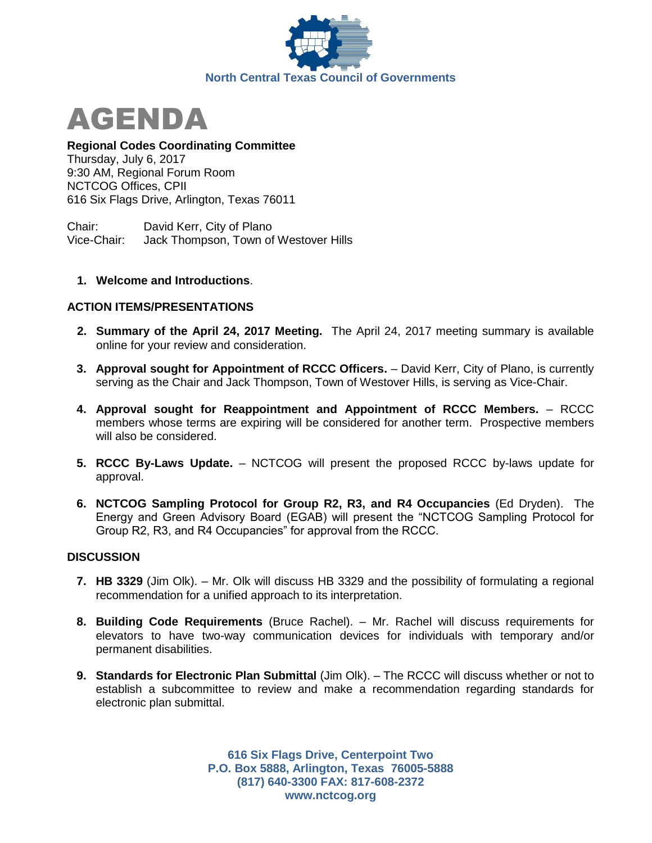



## **Regional Codes Coordinating Committee**

Thursday, July 6, 2017 9:30 AM, Regional Forum Room NCTCOG Offices, CPII 616 Six Flags Drive, Arlington, Texas 76011

Chair: David Kerr, City of Plano Vice-Chair: Jack Thompson, Town of Westover Hills

## **1. Welcome and Introductions**.

## **ACTION ITEMS/PRESENTATIONS**

- **2. Summary of the April 24, 2017 Meeting.** The April 24, 2017 meeting summary is available online for your review and consideration.
- **3. Approval sought for Appointment of RCCC Officers.** David Kerr, City of Plano, is currently serving as the Chair and Jack Thompson, Town of Westover Hills, is serving as Vice-Chair.
- **4. Approval sought for Reappointment and Appointment of RCCC Members.** RCCC members whose terms are expiring will be considered for another term. Prospective members will also be considered.
- **5. RCCC By-Laws Update.** NCTCOG will present the proposed RCCC by-laws update for approval.
- **6. NCTCOG Sampling Protocol for Group R2, R3, and R4 Occupancies** (Ed Dryden). The Energy and Green Advisory Board (EGAB) will present the "NCTCOG Sampling Protocol for Group R2, R3, and R4 Occupancies" for approval from the RCCC.

### **DISCUSSION**

- **7. HB 3329** (Jim Olk). Mr. Olk will discuss HB 3329 and the possibility of formulating a regional recommendation for a unified approach to its interpretation.
- **8. Building Code Requirements** (Bruce Rachel). Mr. Rachel will discuss requirements for elevators to have two-way communication devices for individuals with temporary and/or permanent disabilities.
- **9. Standards for Electronic Plan Submittal** (Jim Olk). The RCCC will discuss whether or not to establish a subcommittee to review and make a recommendation regarding standards for electronic plan submittal.

**616 Six Flags Drive, Centerpoint Two P.O. Box 5888, Arlington, Texas 76005-5888 (817) 640-3300 FAX: 817-608-2372 www.nctcog.org**